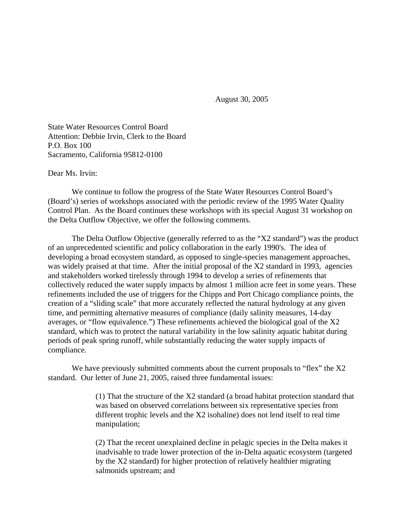August 30, 2005

State Water Resources Control Board Attention: Debbie Irvin, Clerk to the Board P.O. Box 100 Sacramento, California 95812-0100

Dear Ms. Irvin:

We continue to follow the progress of the State Water Resources Control Board's (Board's) series of workshops associated with the periodic review of the 1995 Water Quality Control Plan. As the Board continues these workshops with its special August 31 workshop on the Delta Outflow Objective, we offer the following comments.

The Delta Outflow Objective (generally referred to as the "X2 standard") was the product of an unprecedented scientific and policy collaboration in the early 1990's. The idea of developing a broad ecosystem standard, as opposed to single-species management approaches, was widely praised at that time. After the initial proposal of the X2 standard in 1993, agencies and stakeholders worked tirelessly through 1994 to develop a series of refinements that collectively reduced the water supply impacts by almost 1 million acre feet in some years. These refinements included the use of triggers for the Chipps and Port Chicago compliance points, the creation of a "sliding scale" that more accurately reflected the natural hydrology at any given time, and permitting alternative measures of compliance (daily salinity measures, 14-day averages, or "flow equivalence.") These refinements achieved the biological goal of the X2 standard, which was to protect the natural variability in the low salinity aquatic habitat during periods of peak spring runoff, while substantially reducing the water supply impacts of compliance.

We have previously submitted comments about the current proposals to "flex" the X2 standard. Our letter of June 21, 2005, raised three fundamental issues:

> (1) That the structure of the X2 standard (a broad habitat protection standard that was based on observed correlations between six representative species from different trophic levels and the X2 isohaline) does not lend itself to real time manipulation;

> (2) That the recent unexplained decline in pelagic species in the Delta makes it inadvisable to trade lower protection of the in-Delta aquatic ecosystem (targeted by the X2 standard) for higher protection of relatively healthier migrating salmonids upstream; and